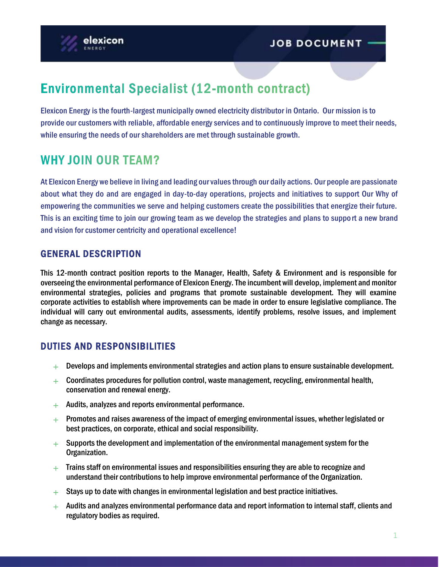

# **Environmental Specialist (12-month contract)**

Elexicon Energy is the fourth-largest municipally owned electricity distributor in Ontario. Our mission is to provide our customers with reliable, affordable energy services and to continuously improve to meet their needs, while ensuring the needs of our shareholders are met through sustainable growth.

# **WHY JOIN OUR TEAM?**

At Elexicon Energy we believe in living and leading our values through our daily actions. Our people are passionate about what they do and are engaged in day-to-day operations, projects and initiatives to support Our Why of empowering the communities we serve and helping customers create the possibilities that energize their future. This is an exciting time to join our growing team as we develop the strategies and plans to support a new brand and vision for customer centricity and operational excellence!

# GENERAL DESCRIPTION

This 12-month contract position reports to the Manager, Health, Safety & Environment and is responsible for overseeing the environmental performance of Elexicon Energy. The incumbent will develop, implement and monitor environmental strategies, policies and programs that promote sustainable development. They will examine corporate activities to establish where improvements can be made in order to ensure legislative compliance. The individual will carry out environmental audits, assessments, identify problems, resolve issues, and implement change as necessary.

# DUTIES AND RESPONSIBILITIES

- $+$  Develops and implements environmental strategies and action plans to ensure sustainable development.
- $+$  Coordinates procedures for pollution control, waste management, recycling, environmental health, conservation and renewal energy.
- $+$  Audits, analyzes and reports environmental performance.
- $+$  Promotes and raises awareness of the impact of emerging environmental issues, whether legislated or best practices, on corporate, ethical and social responsibility.
- $+$  Supports the development and implementation of the environmental management system for the Organization.
- $+$  Trains staff on environmental issues and responsibilities ensuring they are able to recognize and understand their contributions to help improve environmental performance of the Organization.
- $+$  Stays up to date with changes in environmental legislation and best practice initiatives.
- $+$  Audits and analyzes environmental performance data and report information to internal staff, clients and regulatory bodies as required.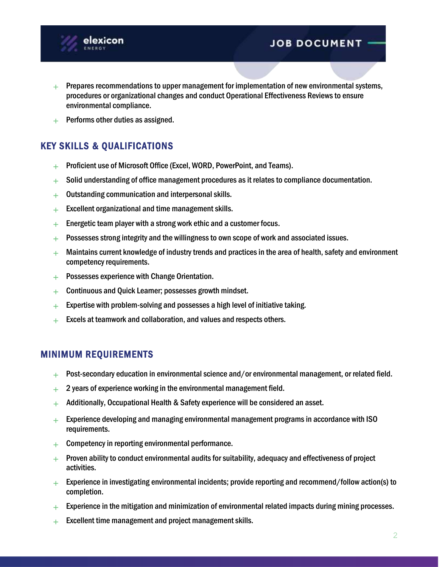

- $+$  Prepares recommendations to upper management for implementation of new environmental systems, procedures or organizational changes and conduct Operational Effectiveness Reviews to ensure environmental compliance.
- $+$  Performs other duties as assigned.

# KEY SKILLS & QUALIFICATIONS

- $+$  Proficient use of Microsoft Office (Excel, WORD, PowerPoint, and Teams).
- $+$  Solid understanding of office management procedures as it relates to compliance documentation.
- $+$  Outstanding communication and interpersonal skills.
- $+$  Excellent organizational and time management skills.
- $+$  Energetic team player with a strong work ethic and a customer focus.
- $+$  Possesses strong integrity and the willingness to own scope of work and associated issues.
- $+$  Maintains current knowledge of industry trends and practices in the area of health, safety and environment competency requirements.
- $+$  Possesses experience with Change Orientation.
- $+$  Continuous and Quick Learner; possesses growth mindset.
- $+$  Expertise with problem-solving and possesses a high level of initiative taking.
- $+$  Excels at teamwork and collaboration, and values and respects others.

#### MINIMUM REQUIREMENTS

- $+$  Post-secondary education in environmental science and/or environmental management, or related field.
- $+$  2 years of experience working in the environmental management field.
- $+$  Additionally, Occupational Health & Safety experience will be considered an asset.
- $+$  Experience developing and managing environmental management programs in accordance with ISO requirements.
- $+$  Competency in reporting environmental performance.
- $+$  Proven ability to conduct environmental audits for suitability, adequacy and effectiveness of project activities.
- $+$  Experience in investigating environmental incidents; provide reporting and recommend/follow action(s) to completion.
- $+$  Experience in the mitigation and minimization of environmental related impacts during mining processes.
- $+$  Excellent time management and project management skills.